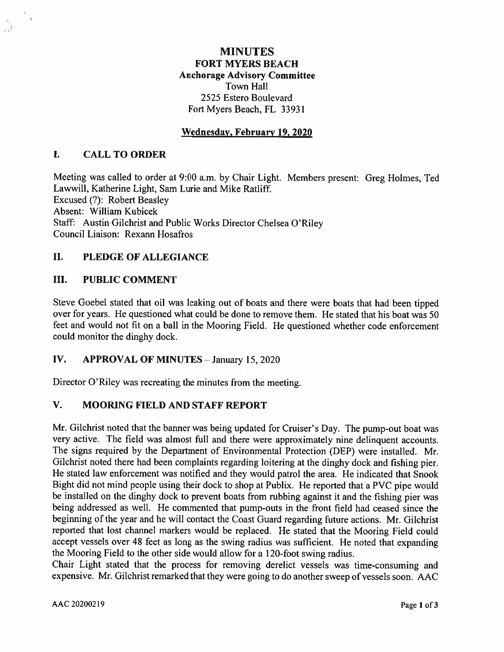# **MINUTES FORT MYERS BEACH Anchorage Advisory Committee** Town Hall 2525 Estero Boulevard Fort Myers Beach, FL 33931

# Wednesday, February 19, 2020

### $\mathbf{I}$ . **CALL TO ORDER**

Meeting was called to order at 9:00 a.m. by Chair Light. Members present: Greg Holmes, Ted Lawwill, Katherine Light, Sam Lurie and Mike Ratliff. Excused (?): Robert Beasley Absent: William Kubicek Staff: Austin Gilchrist and Public Works Director Chelsea O'Riley Council Liaison: Rexann Hosafros

### II. **PLEDGE OF ALLEGIANCE**

### III. **PUBLIC COMMENT**

Steve Goebel stated that oil was leaking out of boats and there were boats that had been tipped over for years. He questioned what could be done to remove them. He stated that his boat was 50 feet and would not fit on a ball in the Mooring Field. He questioned whether code enforcement could monitor the dinghy dock.

### IV. **APPROVAL OF MINUTES - January 15, 2020**

Director O'Riley was recreating the minutes from the meeting.

### $V_{\rm r}$ **MOORING FIELD AND STAFF REPORT**

Mr. Gilchrist noted that the banner was being updated for Cruiser's Day. The pump-out boat was very active. The field was almost full and there were approximately nine delinguent accounts. The signs required by the Department of Environmental Protection (DEP) were installed. Mr. Gilchrist noted there had been complaints regarding loitering at the dinghy dock and fishing pier. He stated law enforcement was notified and they would patrol the area. He indicated that Snook Bight did not mind people using their dock to shop at Publix. He reported that a PVC pipe would be installed on the dinghy dock to prevent boats from rubbing against it and the fishing pier was being addressed as well. He commented that pump-outs in the front field had ceased since the beginning of the year and he will contact the Coast Guard regarding future actions. Mr. Gilchrist reported that lost channel markers would be replaced. He stated that the Mooring Field could accept vessels over 48 feet as long as the swing radius was sufficient. He noted that expanding the Mooring Field to the other side would allow for a 120-foot swing radius.

Chair Light stated that the process for removing derelict vessels was time-consuming and expensive. Mr. Gilchrist remarked that they were going to do another sweep of vessels soon. AAC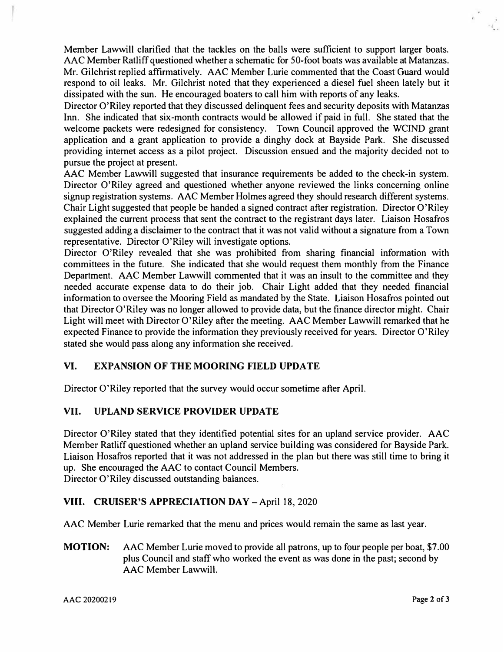Member Lawwill clarified that the tackles on the balls were sufficient to support larger boats. AAC Member Ratliff questioned whether a schematic for 50-foot boats was available at Matanzas. Mr. Gilchrist replied affirmatively. AAC Member Lurie commented that the Coast Guard would respond to oil leaks. Mr. Gilchrist noted that they experienced a diesel fuel sheen lately but it dissipated with the sun. He encouraged boaters to call him with reports of any leaks.

Director O'Riley reported that they discussed delinquent fees and security deposits with Matanzas Inn. She indicated that six-month contracts would be allowed if paid in full. She stated that the welcome packets were redesigned for consistency. Town Council approved the WCIND grant application and a grant application to provide a dinghy dock at Bayside Park. She discussed providing internet access as a pilot project. Discussion ensued and the majority decided not to pursue the project at present.

AAC Member Lawwill suggested that insurance requirements be added to the check-in system. Director O'Riley agreed and questioned whether anyone reviewed the links concerning online signup registration systems. AAC Member Holmes agreed they should research different systems. Chair Light suggested that people be handed a signed contract after registration. Director O'Riley explained the current process that sent the contract to the registrant days later. Liaison Hosafros suggested adding a disclaimer to the contract that it was not valid without a signature from a Town representative. Director O'Riley will investigate options.

Director O'Riley revealed that she was prohibited from sharing financial information with committees in the future. She indicated that she would request them monthly from the Finance Department. AAC Member Lawwill commented that it was an insult to the committee and they needed accurate expense data to do their job. Chair Light added that they needed financial information to oversee the Mooring Field as mandated by the State. Liaison Hosafros pointed out that Director O'Riley was no longer allowed to provide data, but the finance director might. Chair Light will meet with Director O'Riley after the meeting. AAC Member Lawwill remarked that he expected Finance to provide the information they previously received for years. Director O'Riley stated she would pass along any information she received.

## **VI. EXPANSION OF THE MOORING FIELD UPDATE**

Director O'Riley reported that the survey would occur sometime after April.

# **VII. UPLAND SERVICE PROVIDER UPDATE**

Director O'Riley stated that they identified potential sites for an upland service provider. AAC Member Ratliff questioned whether an upland service building was considered for Bayside Park. Liaison Hosafros reported that it was not addressed in the plan but there was still time to bring it up. She encouraged the AAC to contact Council Members. Director O'Riley discussed outstanding balances.

## **VIII. CRUISER'S APPRECIATION DAY - April 18, 2020**

AAC Member Lurie remarked that the menu and prices would remain the same as last year.

**MOTION:** AAC Member Lurie moved to provide all patrons, up to four people per boat, \$7.00 plus Council and staff who worked the event as was done in the past; second by AAC Member Lawwill.

AAC 20200219 **Page 2 of 3** 

• ..

y.